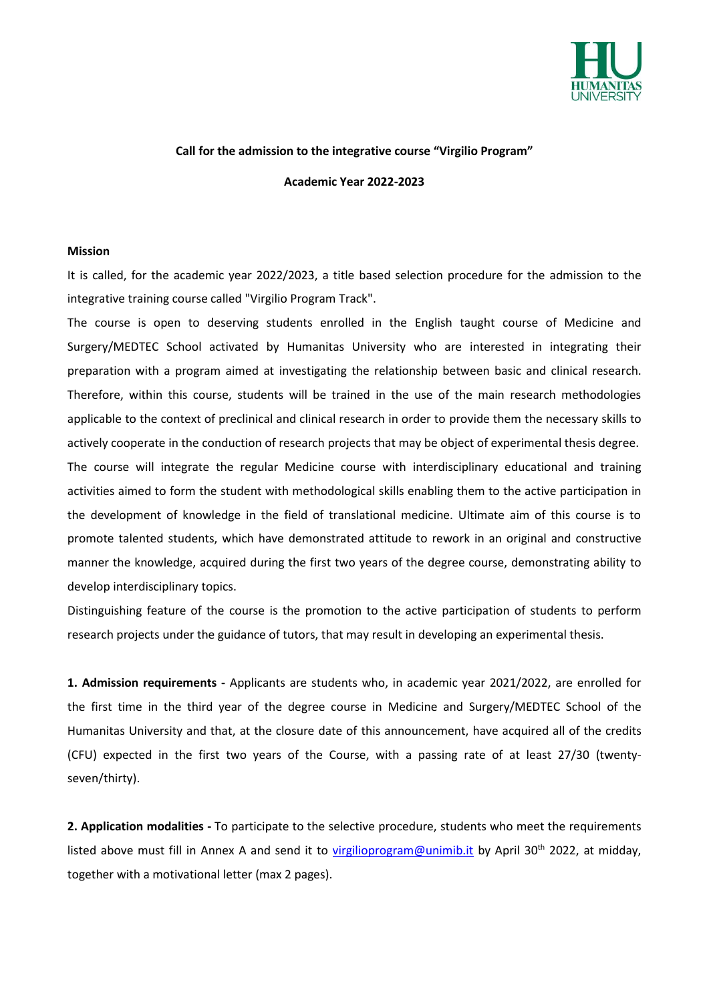

## **Call for the admission to the integrative course "Virgilio Program"**

**Academic Year 2022-2023**

## **Mission**

It is called, for the academic year 2022/2023, a title based selection procedure for the admission to the integrative training course called "Virgilio Program Track".

The course is open to deserving students enrolled in the English taught course of Medicine and Surgery/MEDTEC School activated by Humanitas University who are interested in integrating their preparation with a program aimed at investigating the relationship between basic and clinical research. Therefore, within this course, students will be trained in the use of the main research methodologies applicable to the context of preclinical and clinical research in order to provide them the necessary skills to actively cooperate in the conduction of research projects that may be object of experimental thesis degree. The course will integrate the regular Medicine course with interdisciplinary educational and training activities aimed to form the student with methodological skills enabling them to the active participation in the development of knowledge in the field of translational medicine. Ultimate aim of this course is to promote talented students, which have demonstrated attitude to rework in an original and constructive manner the knowledge, acquired during the first two years of the degree course, demonstrating ability to develop interdisciplinary topics.

Distinguishing feature of the course is the promotion to the active participation of students to perform research projects under the guidance of tutors, that may result in developing an experimental thesis.

**1. Admission requirements -** Applicants are students who, in academic year 2021/2022, are enrolled for the first time in the third year of the degree course in Medicine and Surgery/MEDTEC School of the Humanitas University and that, at the closure date of this announcement, have acquired all of the credits (CFU) expected in the first two years of the Course, with a passing rate of at least 27/30 (twentyseven/thirty).

**2. Application modalities -** To participate to the selective procedure, students who meet the requirements listed above must fill in Annex A and send it to [virgilioprogram@unimib.it](mailto:virgilioprogram@unimib.it) by April 30<sup>th</sup> 2022, at midday, together with a motivational letter (max 2 pages).